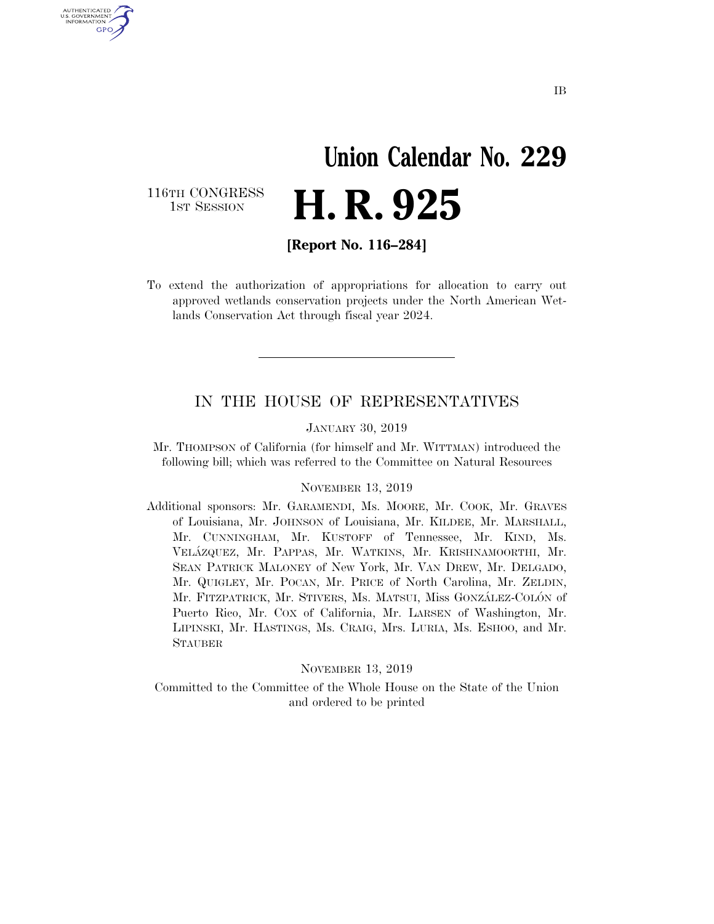# **Union Calendar No. 229**  H. R. 925

116TH CONGRESS<br>1st Session

U.S. GOVERNMENT GPO

**[Report No. 116–284]** 

To extend the authorization of appropriations for allocation to carry out approved wetlands conservation projects under the North American Wetlands Conservation Act through fiscal year 2024.

### IN THE HOUSE OF REPRESENTATIVES

JANUARY 30, 2019

Mr. THOMPSON of California (for himself and Mr. WITTMAN) introduced the following bill; which was referred to the Committee on Natural Resources

#### NOVEMBER 13, 2019

Additional sponsors: Mr. GARAMENDI, Ms. MOORE, Mr. COOK, Mr. GRAVES of Louisiana, Mr. JOHNSON of Louisiana, Mr. KILDEE, Mr. MARSHALL, Mr. CUNNINGHAM, Mr. KUSTOFF of Tennessee, Mr. KIND, Ms. VELA´ZQUEZ, Mr. PAPPAS, Mr. WATKINS, Mr. KRISHNAMOORTHI, Mr. SEAN PATRICK MALONEY of New York, Mr. VAN DREW, Mr. DELGADO, Mr. QUIGLEY, Mr. POCAN, Mr. PRICE of North Carolina, Mr. ZELDIN, Mr. FITZPATRICK, Mr. STIVERS, Ms. MATSUI, Miss GONZÁLEZ-COLÓN of Puerto Rico, Mr. COX of California, Mr. LARSEN of Washington, Mr. LIPINSKI, Mr. HASTINGS, Ms. CRAIG, Mrs. LURIA, Ms. ESHOO, and Mr. STAUBER

### NOVEMBER 13, 2019

Committed to the Committee of the Whole House on the State of the Union and ordered to be printed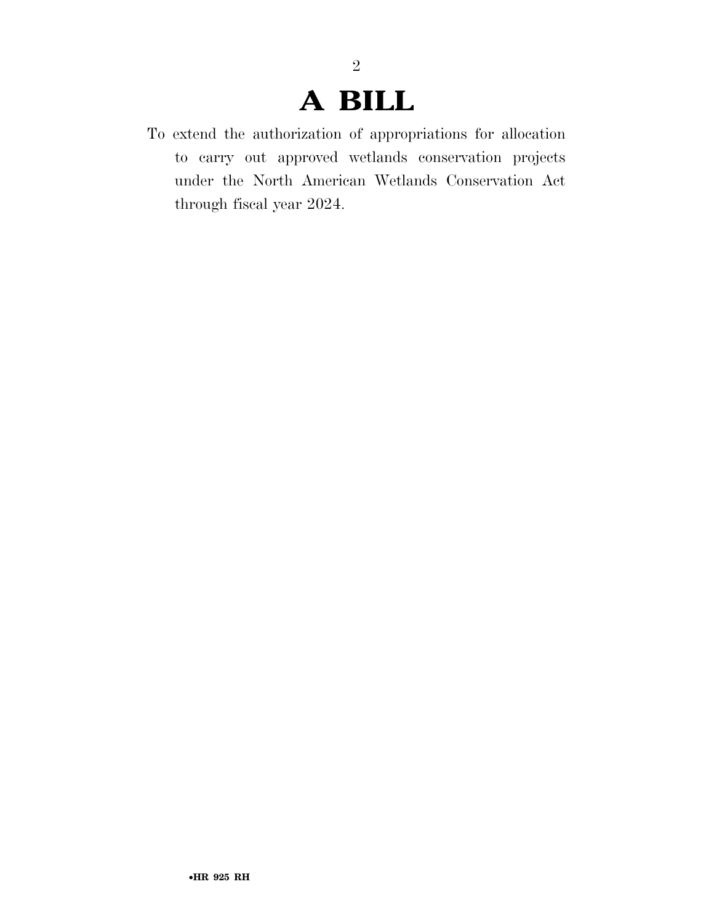# **A BILL**

2

To extend the authorization of appropriations for allocation to carry out approved wetlands conservation projects under the North American Wetlands Conservation Act through fiscal year 2024.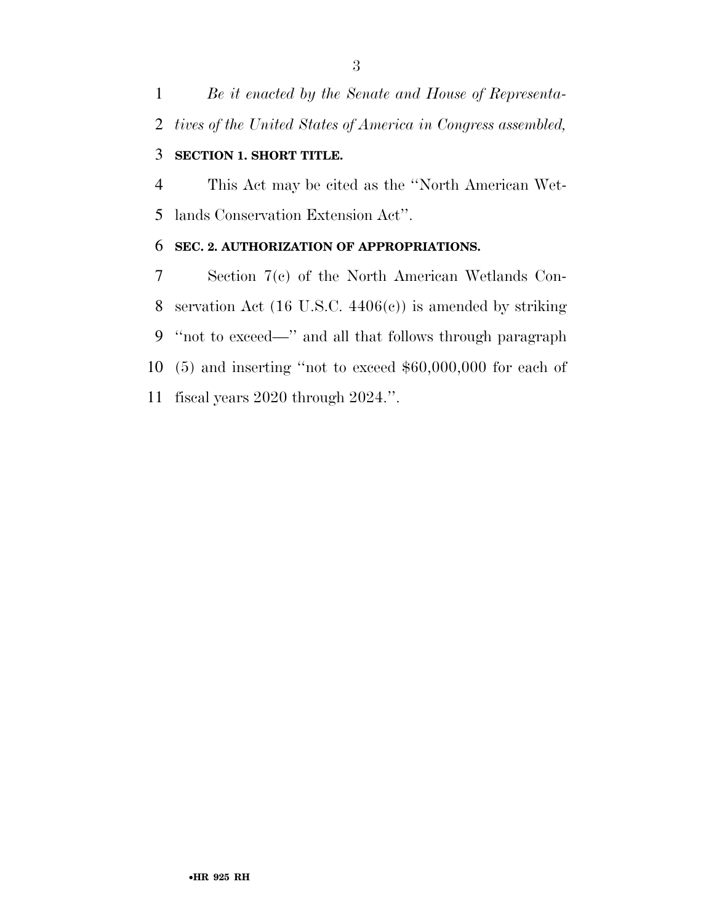*Be it enacted by the Senate and House of Representa-tives of the United States of America in Congress assembled,* 

## **SECTION 1. SHORT TITLE.**

 This Act may be cited as the ''North American Wet-lands Conservation Extension Act''.

## **SEC. 2. AUTHORIZATION OF APPROPRIATIONS.**

 Section 7(c) of the North American Wetlands Con- servation Act (16 U.S.C. 4406(c)) is amended by striking ''not to exceed—'' and all that follows through paragraph (5) and inserting ''not to exceed \$60,000,000 for each of fiscal years 2020 through 2024.''.